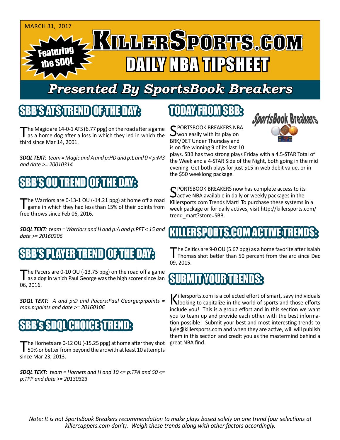

# *Presented By SportsBook Breakers*

#### SBB'S ATSTEREND

The Magic are 14-0-1 ATS (6.77 ppg) on the road after a game<br>as a home dog after a loss in which they led in which the third since Mar 14, 2001.

*SDQL TEXT: team = Magic and A and p:HD and p:L and 0 < p:M3 and date >= 20010314*

# 'S OUTREND

The Warriors are 0-13-1 OU (-14.21 ppg) at home off a road<br>game in which they had less than 15% of their points from free throws since Feb 06, 2016.

*SDQL TEXT: team = Warriors and H and p:A and p:PFT < 15 and date >= 20160206*

## SBB'S PLAYER TREND

The Pacers are 0-10 OU (-13.75 ppg) on the road off a game<br>as a dog in which Paul George was the high scorer since Jan 06, 2016.

*SDQL TEXT: A and p:D and Pacers:Paul George:p:points = max:p:points and date >= 20160106*

## **SBB'S SDOL CHOICE TRE**

The Hornets are 0-12 OU (-15.25 ppg) at home after they shot<br>50% or better from beyond the arc with at least 10 attempts since Mar 23, 2013.

*SDQL TEXT: team = Hornets and H and 10 <= p:TPA and 50 <= p:TPP and date >= 20130323*

# TODAY FROM SBB:

C PORTSBOOK BREAKERS NBA **J** won easily with its play on BRK/DET Under Thursday and is on fire winning 9 of its last 10



plays. SBB has two strong plays Friday with a 4.5-STAR Total of the Week and a 4-STAR Side of the Night, both going in the mid evening. Get both plays for just \$15 in web debit value. or in the \$50 weeklong package.

C PORTSBOOK BREAKERS now has complete access to its **Dactive NBA available in daily or weekly packages in the** Killersports.com Trends Mart! To purchase these systems in a week package or for daily actives, visit http://killersports.com/ trend\_mart?store=SBB.

## ERSPORTS.COM ACTIVE T

The Celtics are 9-0 OU (5.67 ppg) as a home favorite after Isaiah<br>Thomas shot better than 50 percent from the arc since Dec 09, 2015.

## SUBMIT YOUR TREND

Killersports.com is a collected effort of smart, savy individuals<br>Nooking to capitalize in the world of sports and those efforts include you! This is a group effort and in this section we want you to team up and provide each other with the best information possible! Submit your best and most interesting trends to kyle@killersports.com and when they are active, will will publish them in this section and credit you as the mastermind behind a great NBA find.

*Note: It is not SportsBook Breakers recommendation to make plays based solely on one trend (our selections at killercappers.com don't). Weigh these trends along with other factors accordingly.*